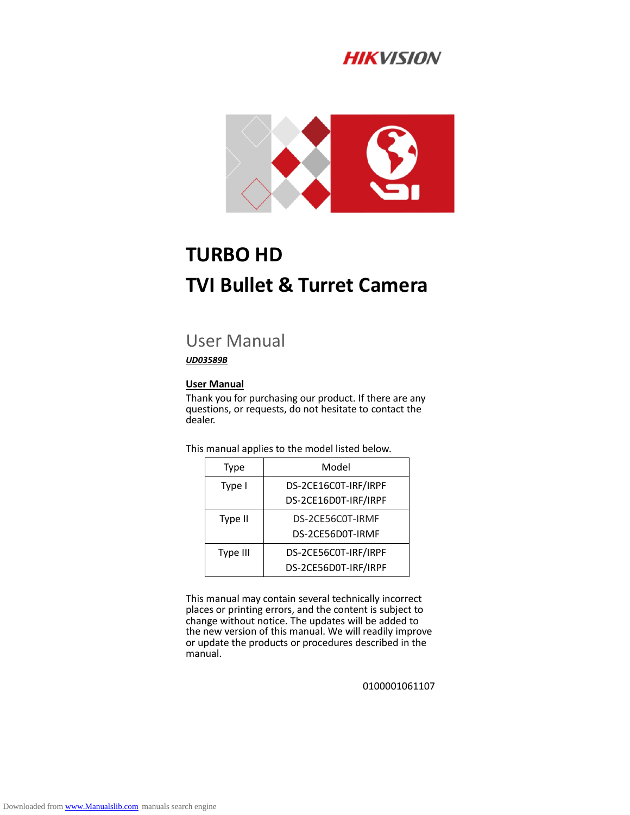# **HIKVISION**



# **TURBO HD TVI Bullet & Turret Camera**

# User Manual

#### *UD03589B*

#### **User Manual**

Thank you for purchasing our product. If there are any questions, or requests, do not hesitate to contact the dealer.

This manual applies to the model listed below.

| Type     | Model                |
|----------|----------------------|
| Type I   | DS-2CE16C0T-IRF/IRPF |
|          | DS-2CE16D0T-IRF/IRPF |
| Type II  | DS-2CE56C0T-IRMF     |
|          | DS-2CE56D0T-IRMF     |
| Type III | DS-2CE56C0T-IRF/IRPF |
|          | DS-2CE56D0T-IRF/IRPF |

This manual may contain several technically incorrect places or printing errors, and the content is subject to change without notice. The updates will be added to the new version of this manual. We will readily improve or update the products or procedures described in the manual.

0100001061107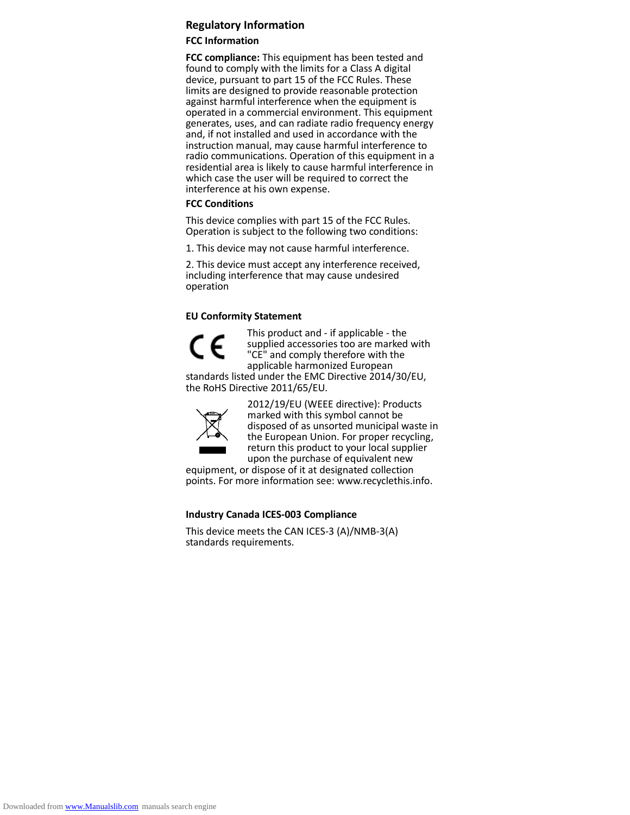#### **Regulatory Information**

#### **FCC Information**

**FCC compliance:** This equipment has been tested and found to comply with the limits for a Class A digital device, pursuant to part 15 of the FCC Rules. These limits are designed to provide reasonable protection against harmful interference when the equipment is operated in a commercial environment. This equipment generates, uses, and can radiate radio frequency energy and, if not installed and used in accordance with the instruction manual, may cause harmful interference to radio communications. Operation of this equipment in a residential area is likely to cause harmful interference in which case the user will be required to correct the interference at his own expense.

#### **FCC Conditions**

This device complies with part 15 of the FCC Rules. Operation is subject to the following two conditions:

1. This device may not cause harmful interference.

2. This device must accept any interference received, including interference that may cause undesired operation

#### **EU Conformity Statement**



This product and - if applicable - the supplied accessories too are marked with "CE" and comply therefore with the applicable harmonized European

standards listed under the EMC Directive 2014/30/EU, the RoHS Directive 2011/65/EU.



2012/19/EU (WEEE directive): Products marked with this symbol cannot be disposed of as unsorted municipal waste in the European Union. For proper recycling, return this product to your local supplier upon the purchase of equivalent new

equipment, or dispose of it at designated collection points. For more information see: www.recyclethis.info.

#### **Industry Canada ICES-003 Compliance**

This device meets the CAN ICES-3 (A)/NMB-3(A) standards requirements.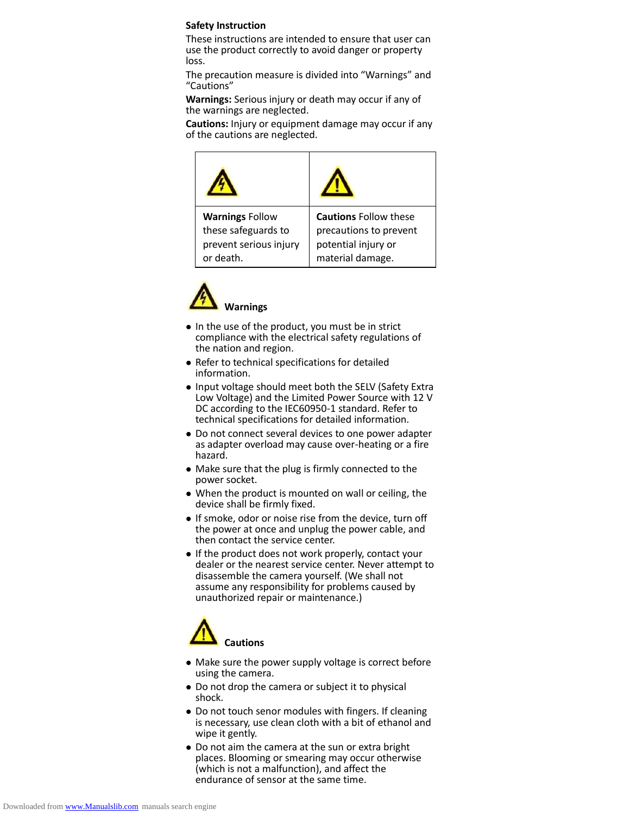#### **Safety Instruction**

These instructions are intended to ensure that user can use the product correctly to avoid danger or property loss.

The precaution measure is divided into "Warnings" and "Cautions"

**Warnings:** Serious injury or death may occur if any of the warnings are neglected.

**Cautions:** Injury or equipment damage may occur if any of the cautions are neglected.





- In the use of the product, you must be in strict compliance with the electrical safety regulations of the nation and region.
- Refer to technical specifications for detailed information.
- Input voltage should meet both the SELV (Safety Extra Low Voltage) and the Limited Power Source with 12 V DC according to the IEC60950-1 standard. Refer to technical specifications for detailed information.
- Do not connect several devices to one power adapter as adapter overload may cause over-heating or a fire hazard.
- Make sure that the plug is firmly connected to the power socket.
- When the product is mounted on wall or ceiling, the device shall be firmly fixed.
- If smoke, odor or noise rise from the device, turn off the power at once and unplug the power cable, and then contact the service center.
- If the product does not work properly, contact your dealer or the nearest service center. Never attempt to disassemble the camera yourself. (We shall not assume any responsibility for problems caused by unauthorized repair or maintenance.)



- Make sure the power supply voltage is correct before using the camera.
- Do not drop the camera or subject it to physical shock.
- Do not touch senor modules with fingers. If cleaning is necessary, use clean cloth with a bit of ethanol and wipe it gently.
- Do not aim the camera at the sun or extra bright places. Blooming or smearing may occur otherwise (which is not a malfunction), and affect the endurance of sensor at the same time.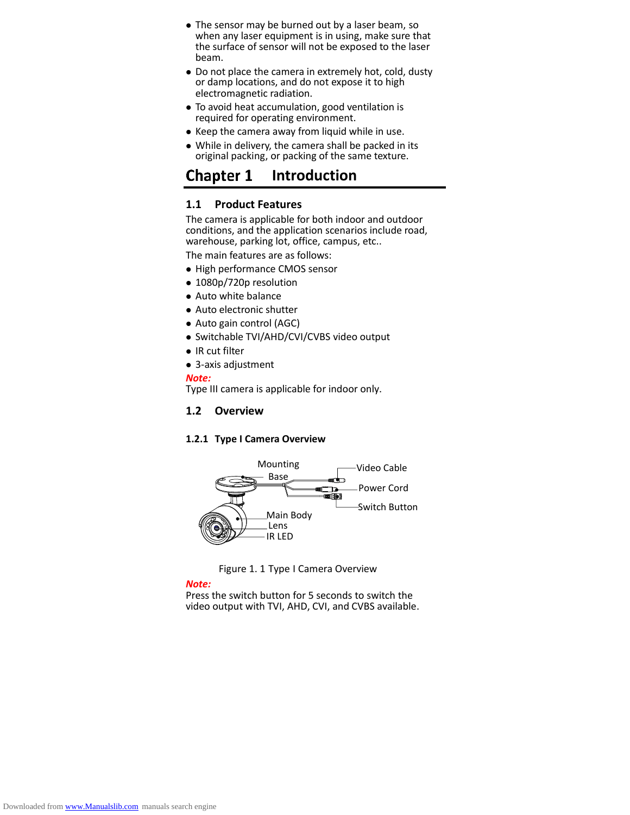- The sensor may be burned out by a laser beam, so when any laser equipment is in using, make sure that the surface of sensor will not be exposed to the laser beam.
- Do not place the camera in extremely hot, cold, dusty or damp locations, and do not expose it to high electromagnetic radiation.
- To avoid heat accumulation, good ventilation is required for operating environment.
- Keep the camera away from liquid while in use.
- While in delivery, the camera shall be packed in its original packing, or packing of the same texture.

#### **Chapter 1 Introduction**

#### **1.1 Product Features**

The camera is applicable for both indoor and outdoor conditions, and the application scenarios include road, warehouse, parking lot, office, campus, etc..

The main features are as follows:

- High performance CMOS sensor
- 1080p/720p resolution
- Auto white balance
- Auto electronic shutter
- Auto gain control (AGC)
- Switchable TVI/AHD/CVI/CVBS video output
- IR cut filter
- 3-axis adjustment

#### *Note:*

Type III camera is applicable for indoor only.

#### **1.2 Overview**

#### **1.2.1 Type I Camera Overview**





#### *Note:*

Press the switch button for 5 seconds to switch the video output with TVI, AHD, CVI, and CVBS available.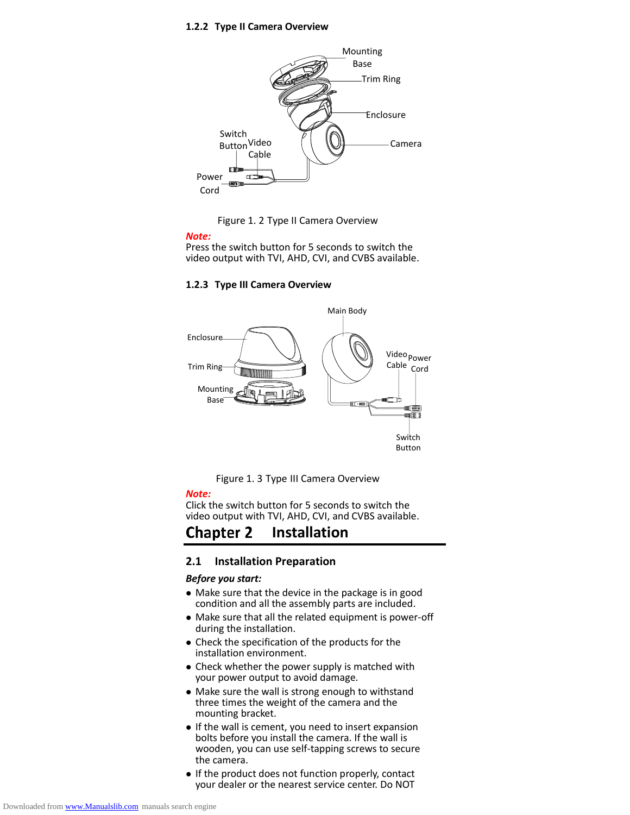#### **1.2.2 Type II Camera Overview**





#### *Note:*

Press the switch button for 5 seconds to switch the video output with TVI, AHD, CVI, and CVBS available.

#### **1.2.3 Type III Camera Overview**





#### *Note:*

Click the switch button for 5 seconds to switch the video output with TVI, AHD, CVI, and CVBS available.

#### **Chapter 2 Installation**

#### **2.1 Installation Preparation**

#### *Before you start:*

- Make sure that the device in the package is in good condition and all the assembly parts are included.
- Make sure that all the related equipment is power-off during the installation.
- Check the specification of the products for the installation environment.
- Check whether the power supply is matched with your power output to avoid damage.
- Make sure the wall is strong enough to withstand three times the weight of the camera and the mounting bracket.
- If the wall is cement, you need to insert expansion bolts before you install the camera. If the wall is wooden, you can use self-tapping screws to secure the camera.
- If the product does not function properly, contact your dealer or the nearest service center. Do NOT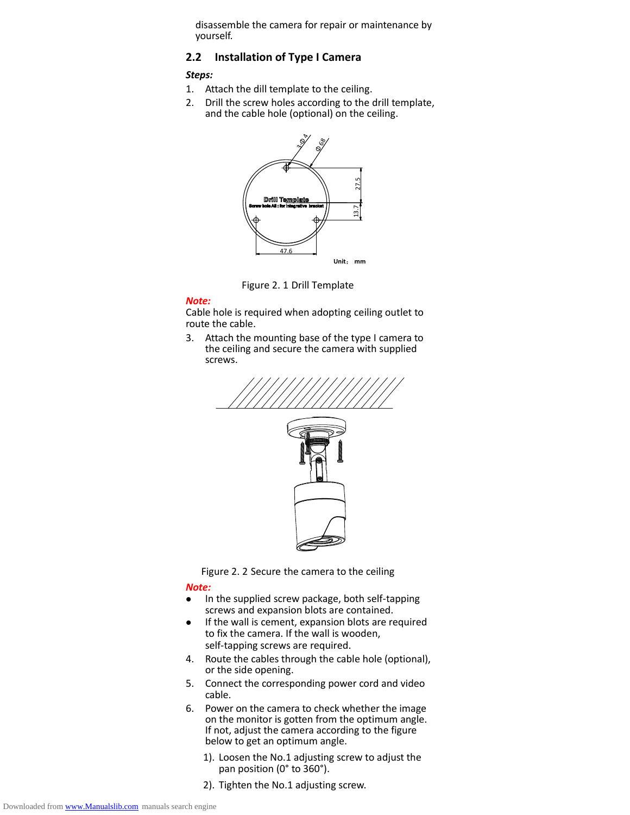disassemble the camera for repair or maintenance by yourself.

### **2.2 Installation of Type I Camera**

#### *Steps:*

- 1. Attach the dill template to the ceiling.
- 2. Drill the screw holes according to the drill template, and the cable hole (optional) on the ceiling.



Figure 2. 1 Drill Template

#### *Note:*

Cable hole is required when adopting ceiling outlet to route the cable.

3. Attach the mounting base of the type I camera to the ceiling and secure the camera with supplied screws.





#### *Note:*

- In the supplied screw package, both self-tapping screws and expansion blots are contained.
- If the wall is cement, expansion blots are required to fix the camera. If the wall is wooden, self-tapping screws are required.
- 4. Route the cables through the cable hole (optional), or the side opening.
- 5. Connect the corresponding power cord and video cable.
- 6. Power on the camera to check whether the image on the monitor is gotten from the optimum angle. If not, adjust the camera according to the figure below to get an optimum angle.
	- 1). Loosen the No.1 adjusting screw to adjust the pan position (0° to 360°).
	- 2). Tighten the No.1 adjusting screw.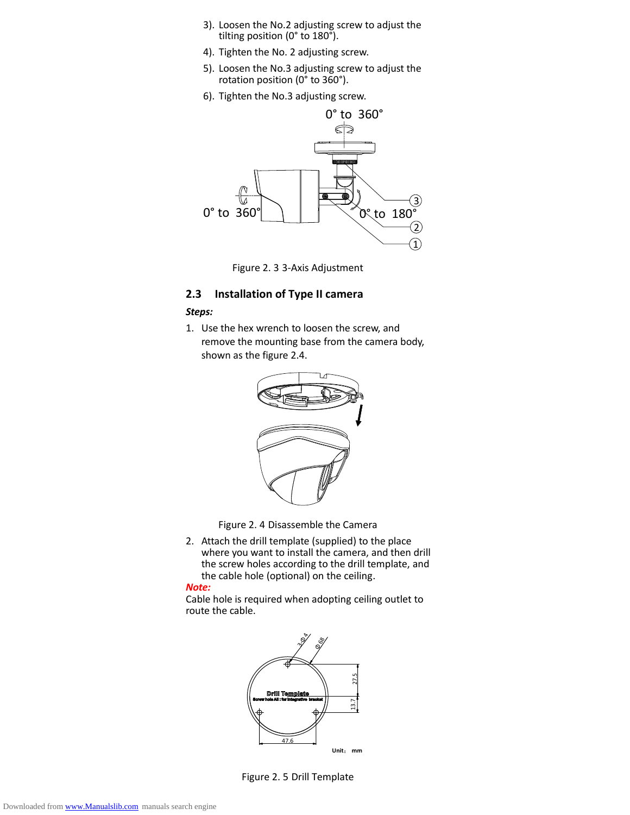- 3). Loosen the No.2 adjusting screw to adjust the tilting position ( $0^\circ$  to  $180^\circ$ ).
- 4). Tighten the No. 2 adjusting screw.
- 5). Loosen the No.3 adjusting screw to adjust the rotation position (0° to 360°).
- 6). Tighten the No.3 adjusting screw.



Figure 2. 3 3-Axis Adjustment

#### **2.3 Installation of Type II camera**

#### *Steps:*

1. Use the hex wrench to loosen the screw, and remove the mounting base from the camera body, shown as the figure 2.4.



Figure 2. 4 Disassemble the Camera

2. Attach the drill template (supplied) to the place where you want to install the camera, and then drill the screw holes according to the drill template, and the cable hole (optional) on the ceiling.

#### *Note:*

Cable hole is required when adopting ceiling outlet to route the cable.



Figure 2. 5 Drill Template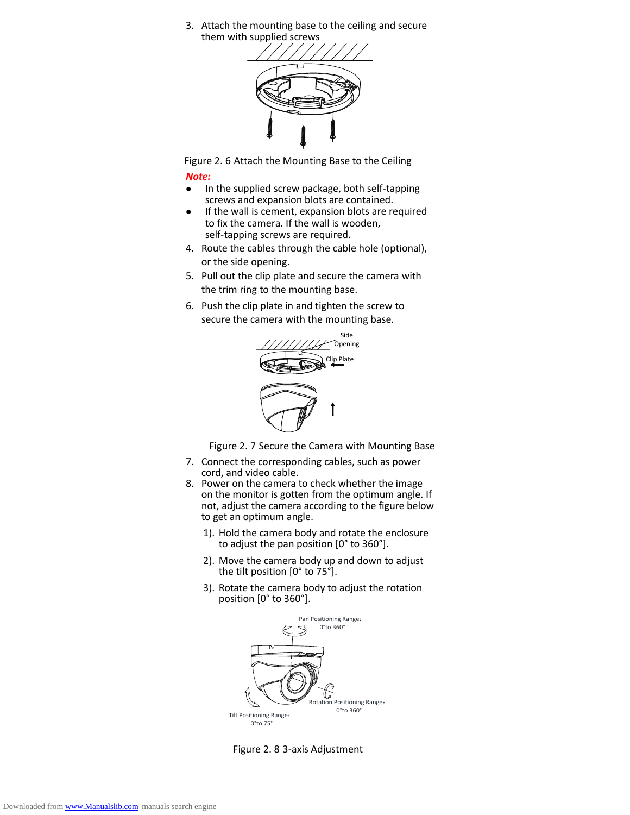3. Attach the mounting base to the ceiling and secure them with supplied screws



Figure 2. 6 Attach the Mounting Base to the Ceiling

#### *Note:*

- In the supplied screw package, both self-tapping screws and expansion blots are contained.
- If the wall is cement, expansion blots are required to fix the camera. If the wall is wooden, self-tapping screws are required.
- 4. Route the cables through the cable hole (optional), or the side opening.
- 5. Pull out the clip plate and secure the camera with the trim ring to the mounting base.
- 6. Push the clip plate in and tighten the screw to secure the camera with the mounting base.



Figure 2. 7 Secure the Camera with Mounting Base

- 7. Connect the corresponding cables, such as power cord, and video cable.
- 8. Power on the camera to check whether the image on the monitor is gotten from the optimum angle. If not, adjust the camera according to the figure below to get an optimum angle.
	- 1). Hold the camera body and rotate the enclosure to adjust the pan position [0° to 360°].
	- 2). Move the camera body up and down to adjust the tilt position  $[0^{\circ}$  to 75 $^{\circ}]$ .
	- 3). Rotate the camera body to adjust the rotation position [0° to 360°].



Figure 2. 8 3-axis Adjustment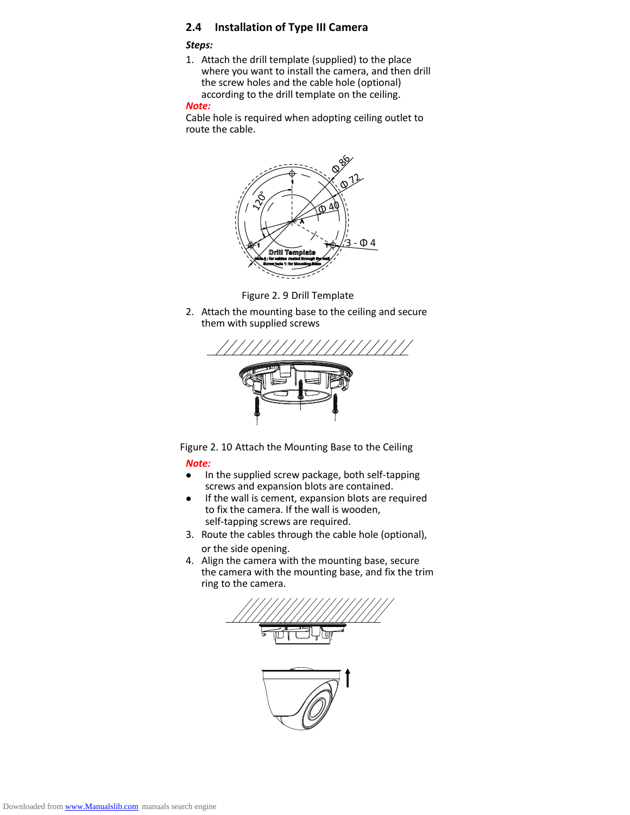## **2.4 Installation of Type III Camera**

#### *Steps:*

1. Attach the drill template (supplied) to the place where you want to install the camera, and then drill the screw holes and the cable hole (optional) according to the drill template on the ceiling.

#### *Note:*

Cable hole is required when adopting ceiling outlet to route the cable.





2. Attach the mounting base to the ceiling and secure them with supplied screws



Figure 2. 10 Attach the Mounting Base to the Ceiling

#### *Note:*

- In the supplied screw package, both self-tapping screws and expansion blots are contained.
- If the wall is cement, expansion blots are required to fix the camera. If the wall is wooden, self-tapping screws are required.
- 3. Route the cables through the cable hole (optional), or the side opening.
- 4. Align the camera with the mounting base, secure the camera with the mounting base, and fix the trim ring to the camera.